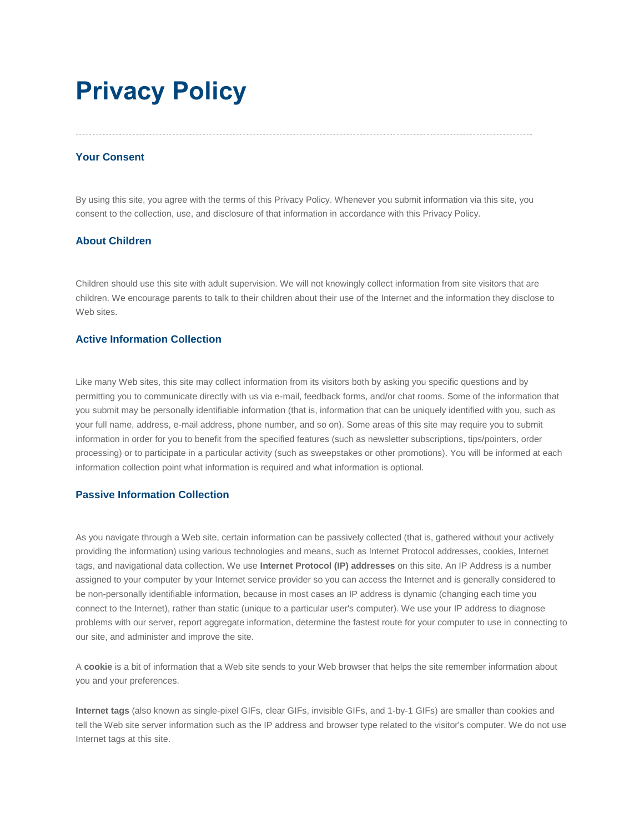# **Privacy Policy**

# **Your Consent**

By using this site, you agree with the terms of this Privacy Policy. Whenever you submit information via this site, you consent to the collection, use, and disclosure of that information in accordance with this Privacy Policy.

# **About Children**

Children should use this site with adult supervision. We will not knowingly collect information from site visitors that are children. We encourage parents to talk to their children about their use of the Internet and the information they disclose to Web sites.

# **Active Information Collection**

Like many Web sites, this site may collect information from its visitors both by asking you specific questions and by permitting you to communicate directly with us via e-mail, feedback forms, and/or chat rooms. Some of the information that you submit may be personally identifiable information (that is, information that can be uniquely identified with you, such as your full name, address, e-mail address, phone number, and so on). Some areas of this site may require you to submit information in order for you to benefit from the specified features (such as newsletter subscriptions, tips/pointers, order processing) or to participate in a particular activity (such as sweepstakes or other promotions). You will be informed at each information collection point what information is required and what information is optional.

# **Passive Information Collection**

As you navigate through a Web site, certain information can be passively collected (that is, gathered without your actively providing the information) using various technologies and means, such as Internet Protocol addresses, cookies, Internet tags, and navigational data collection. We use **Internet Protocol (IP) addresses** on this site. An IP Address is a number assigned to your computer by your Internet service provider so you can access the Internet and is generally considered to be non-personally identifiable information, because in most cases an IP address is dynamic (changing each time you connect to the Internet), rather than static (unique to a particular user's computer). We use your IP address to diagnose problems with our server, report aggregate information, determine the fastest route for your computer to use in connecting to our site, and administer and improve the site.

A **cookie** is a bit of information that a Web site sends to your Web browser that helps the site remember information about you and your preferences.

**Internet tags** (also known as single-pixel GIFs, clear GIFs, invisible GIFs, and 1-by-1 GIFs) are smaller than cookies and tell the Web site server information such as the IP address and browser type related to the visitor's computer. We do not use Internet tags at this site.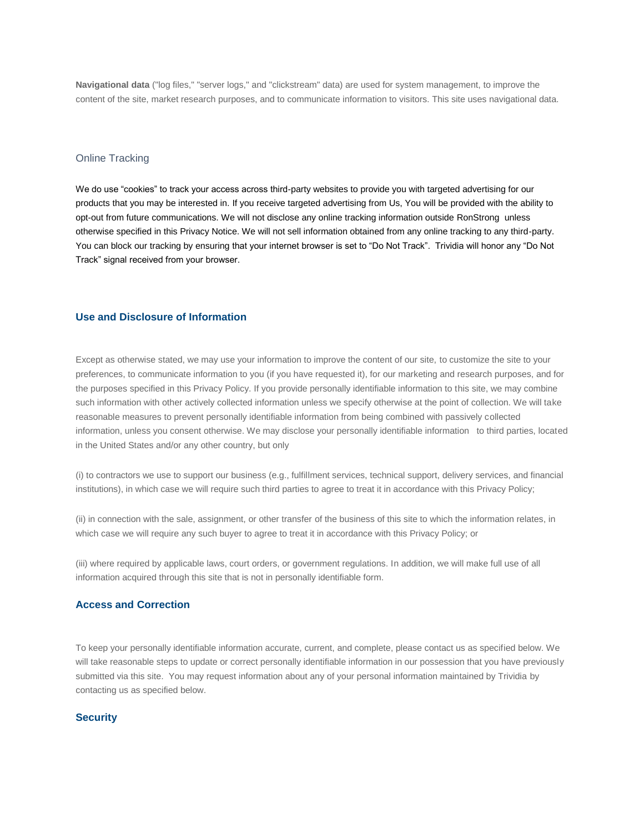**Navigational data** ("log files," "server logs," and "clickstream" data) are used for system management, to improve the content of the site, market research purposes, and to communicate information to visitors. This site uses navigational data.

#### Online Tracking

We do use "cookies" to track your access across third-party websites to provide you with targeted advertising for our products that you may be interested in. If you receive targeted advertising from Us, You will be provided with the ability to opt-out from future communications. We will not disclose any online tracking information outside RonStrong unless otherwise specified in this Privacy Notice. We will not sell information obtained from any online tracking to any third-party. You can block our tracking by ensuring that your internet browser is set to "Do Not Track". Trividia will honor any "Do Not Track" signal received from your browser.

# **Use and Disclosure of Information**

Except as otherwise stated, we may use your information to improve the content of our site, to customize the site to your preferences, to communicate information to you (if you have requested it), for our marketing and research purposes, and for the purposes specified in this Privacy Policy. If you provide personally identifiable information to this site, we may combine such information with other actively collected information unless we specify otherwise at the point of collection. We will take reasonable measures to prevent personally identifiable information from being combined with passively collected information, unless you consent otherwise. We may disclose your personally identifiable information to third parties, located in the United States and/or any other country, but only

(i) to contractors we use to support our business (e.g., fulfillment services, technical support, delivery services, and financial institutions), in which case we will require such third parties to agree to treat it in accordance with this Privacy Policy;

(ii) in connection with the sale, assignment, or other transfer of the business of this site to which the information relates, in which case we will require any such buyer to agree to treat it in accordance with this Privacy Policy; or

(iii) where required by applicable laws, court orders, or government regulations. In addition, we will make full use of all information acquired through this site that is not in personally identifiable form.

#### **Access and Correction**

To keep your personally identifiable information accurate, current, and complete, please contact us as specified below. We will take reasonable steps to update or correct personally identifiable information in our possession that you have previously submitted via this site. You may request information about any of your personal information maintained by Trividia by contacting us as specified below.

# **Security**